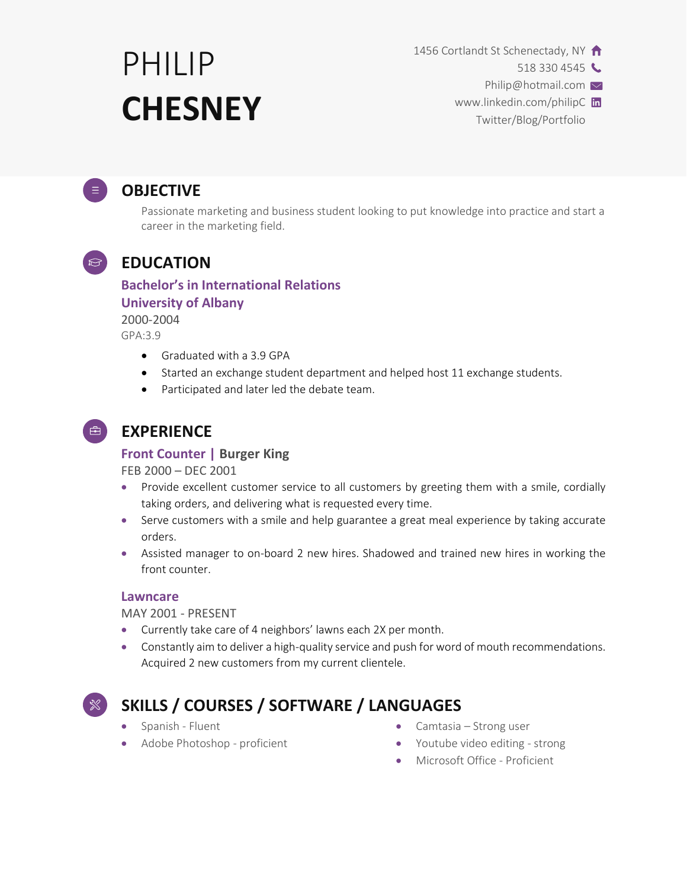# PHILIP **CHESNEY**

1456 Cortlandt St Schenectady, NY

518 330 4545

Philip@hotmail.com

www.linkedin.com/philipC in Twitter/Blog/Portfolio

## **OBJECTIVE**

Passionate marketing and business student looking to put knowledge into practice and start a career in the marketing field.

# **EDUCATION**

#### **Bachelor's in International Relations**

#### **University of Albany**

2000-2004 GPA:3.9

- Graduated with a 3.9 GPA
- Started an exchange student department and helped host 11 exchange students.
- Participated and later led the debate team.
- $\Rightarrow$

## **EXPERIENCE**

#### **Front Counter | Burger King**

FEB 2000 – DEC 2001

- Provide excellent customer service to all customers by greeting them with a smile, cordially taking orders, and delivering what is requested every time.
- Serve customers with a smile and help guarantee a great meal experience by taking accurate orders.
- Assisted manager to on-board 2 new hires. Shadowed and trained new hires in working the front counter.

#### **Lawncare**

MAY 2001 - PRESENT

- Currently take care of 4 neighbors' lawns each 2X per month.
- Constantly aim to deliver a high-quality service and push for word of mouth recommendations. Acquired 2 new customers from my current clientele.



# **SKILLS / COURSES / SOFTWARE / LANGUAGES**

- Spanish Fluent
- Adobe Photoshop proficient
- Camtasia Strong user
- Youtube video editing strong
- Microsoft Office Proficient